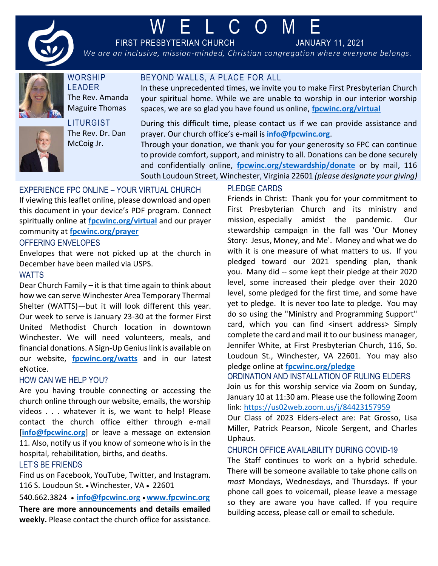

# W E L C O M E

FIRST PRESBYTERIAN CHURCH JANUARY 11, 2021

*We are an inclusive, mission-minded, Christian congregation where everyone belongs.*



**WORSHIP** LEADER The Rev. Amanda Maguire Thomas



**LITURGIST** The Rev. Dr. Dan McCoig Jr.

BEYOND WALLS, A PLACE FOR ALL

In these unprecedented times, we invite you to make First Presbyterian Church your spiritual home. While we are unable to worship in our interior worship spaces, we are so glad you have found us online, **[fpcwinc.org/virtual](https://www.fpcwinc.org/virtual)**

During this difficult time, please contact us if we can provide assistance and prayer. Our church office's e-mail is **[info@fpcwinc.org](mailto:info@fpcwinc.org)**.

Through your donation, we thank you for your generosity so FPC can continue to provide comfort, support, and ministry to all. Donations can be done securely and confidentially online, **[fpcwinc.org/stewardship/donate](https://www.fpcwinc.org/stewardship/donate)** or by mail, 116 South Loudoun Street, Winchester, Virginia 22601 *(please designate your giving)*

# EXPERIENCE FPC ONLINE – YOUR VIRTUAL CHURCH

If viewing this leaflet online, please download and open this document in your device's PDF program. Connect spiritually online at **[fpcwinc.org/virtual](https://www.fpcwinc.org/virtual)** and our prayer community at **[fpcwinc.org/prayer](https://fpcwinc.org/ministries/prayer/)**

#### OFFERING ENVELOPES

Envelopes that were not picked up at the church in December have been mailed via USPS.

#### **WATTS**

Dear Church Family – it is that time again to think about how we can serve Winchester Area Temporary Thermal Shelter (WATTS)—but it will look different this year. Our week to serve is January 23-30 at the former First United Methodist Church location in downtown Winchester. We will need volunteers, meals, and financial donations. A Sign-Up Genius link is available on our website, **[fpcwinc.org/watts](https://www.fpcwinc.org/watts)** and in our latest eNotice.

# HOW CAN WE HELP YOU?

Are you having trouble connecting or accessing the church online through our website, emails, the worship videos . . . whatever it is, we want to help! Please contact the church office either through e-mail [[info@fpcwinc.org](mailto:info@fpcwinc.org)] or leave a message on extension 11. Also, notify us if you know of someone who is in the hospital, rehabilitation, births, and deaths.

# LET'S BE FRIENDS

Find us on Facebook, YouTube, Twitter, and Instagram. 116 S. Loudoun St. • Winchester, VA • 22601

540.662.3824 • **[info@fpcwinc.org](mailto:info@fpcwinc.org)** • **[www.fpcwinc.org](http://www.fpcwinc.org/) There are more announcements and details emailed weekly.** Please contact the church office for assistance.

# PLEDGE CARDS

Friends in Christ: Thank you for your commitment to First Presbyterian Church and its ministry and mission, especially amidst the pandemic. Our stewardship campaign in the fall was 'Our Money Story: Jesus, Money, and Me'. Money and what we do with it is one measure of what matters to us. If you pledged toward our 2021 spending plan, thank you. Many did -- some kept their pledge at their 2020 level, some increased their pledge over their 2020 level, some pledged for the first time, and some have yet to pledge. It is never too late to pledge. You may do so using the "Ministry and Programming Support" card, which you can find <insert address> Simply complete the card and mail it to our business manager, Jennifer White, at First Presbyterian Church, 116, So. Loudoun St., Winchester, VA 22601. You may also pledge online at **[fpcwinc.org/pledge](https://fpcwinc.org/pledge/)**

# ORDINATION AND INSTALLATION OF RULING ELDERS

Join us for this worship service via Zoom on Sunday, January 10 at 11:30 am. Please use the following Zoom link:<https://us02web.zoom.us/j/84423157959>

Our Class of 2023 Elders-elect are: Pat Grosso, Lisa Miller, Patrick Pearson, Nicole Sergent, and Charles Uphaus.

#### CHURCH OFFICE AVAILABILITY DURING COVID-19

The Staff continues to work on a hybrid schedule. There will be someone available to take phone calls on *most* Mondays, Wednesdays, and Thursdays. If your phone call goes to voicemail, please leave a message so they are aware you have called. If you require building access, please call or email to schedule.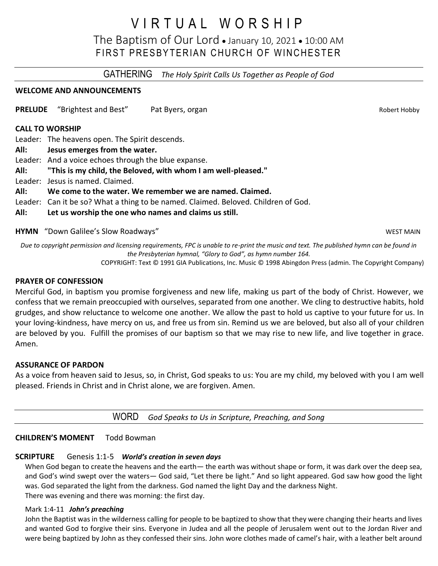# V I R T U A L W O R S H I P

The Baptism of Our Lord • January 10, 2021 • 10:00 AM FIRST PRESBYTERIAN CHURCH OF WINCHESTER

GATHERING *The Holy Spirit Calls Us Together as People of God*

# **WELCOME AND ANNOUNCEMENTS**

**PRELUDE** "Brightest and Best" Pat Byers, organ **PRELUDE** "Robert Hobby

# **CALL TO WORSHIP**

Leader: The heavens open. The Spirit descends.

- **All: Jesus emerges from the water.**
- Leader: And a voice echoes through the blue expanse.
- **All: "This is my child, the Beloved, with whom I am well-pleased."**
- Leader: Jesus is named. Claimed.

# **All: We come to the water. We remember we are named. Claimed.**

- Leader: Can it be so? What a thing to be named. Claimed. Beloved. Children of God.
- **All: Let us worship the one who names and claims us still.**

**HYMN** "Down Galilee's Slow Roadways" Notified the state of the state of the state of the state of the state of the state of the state of the state of the state of the state of the state of the state of the state of the st

*Due to copyright permission and licensing requirements, FPC is unable to re-print the music and text. The published hymn can be found in the Presbyterian hymnal, "Glory to God", as hymn number 164.*

COPYRIGHT: Text © 1991 GIA Publications, Inc. Music © 1998 Abingdon Press (admin. The Copyright Company)

#### **PRAYER OF CONFESSION**

Merciful God, in baptism you promise forgiveness and new life, making us part of the body of Christ. However, we confess that we remain preoccupied with ourselves, separated from one another. We cling to destructive habits, hold grudges, and show reluctance to welcome one another. We allow the past to hold us captive to your future for us. In your loving-kindness, have mercy on us, and free us from sin. Remind us we are beloved, but also all of your children are beloved by you. Fulfill the promises of our baptism so that we may rise to new life, and live together in grace. Amen.

#### **ASSURANCE OF PARDON**

As a voice from heaven said to Jesus, so, in Christ, God speaks to us: You are my child, my beloved with you I am well pleased. Friends in Christ and in Christ alone, we are forgiven. Amen.

WORD *God Speaks to Us in Scripture, Preaching, and Song*

#### **CHILDREN'S MOMENT** Todd Bowman

# **SCRIPTURE** Genesis 1:1-5 *World's creation in seven days*

When God began to create the heavens and the earth— the earth was without shape or form, it was dark over the deep sea, and God's wind swept over the waters— God said, "Let there be light." And so light appeared. God saw how good the light was. God separated the light from the darkness. God named the light Day and the darkness Night. There was evening and there was morning: the first day.

# Mark 1:4-11 *John's preaching*

John the Baptist was in the wilderness calling for people to be baptized to show that they were changing their hearts and lives and wanted God to forgive their sins. Everyone in Judea and all the people of Jerusalem went out to the Jordan River and were being baptized by John as they confessed their sins. John wore clothes made of camel's hair, with a leather belt around